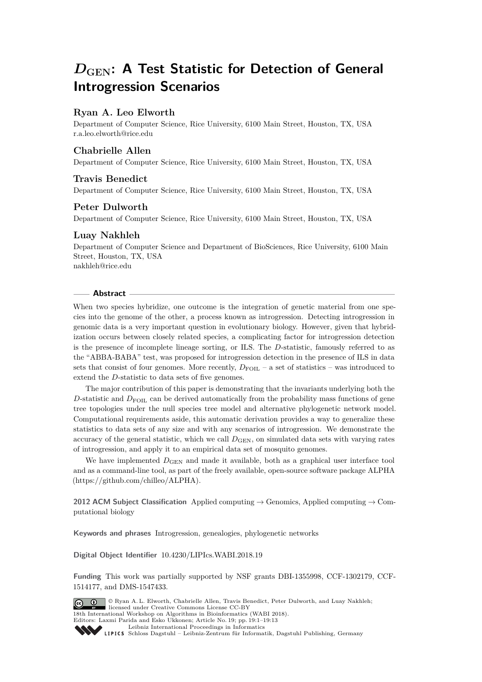# *D***GEN: A Test Statistic for Detection of General Introgression Scenarios**

# **Ryan A. Leo Elworth**

Department of Computer Science, Rice University, 6100 Main Street, Houston, TX, USA [r.a.leo.elworth@rice.edu](mailto:r.a.leo.elworth@rice.edu)

# **Chabrielle Allen**

Department of Computer Science, Rice University, 6100 Main Street, Houston, TX, USA

## **Travis Benedict**

Department of Computer Science, Rice University, 6100 Main Street, Houston, TX, USA

## **Peter Dulworth**

Department of Computer Science, Rice University, 6100 Main Street, Houston, TX, USA

## **Luay Nakhleh**

Department of Computer Science and Department of BioSciences, Rice University, 6100 Main Street, Houston, TX, USA [nakhleh@rice.edu](mailto:nakhleh@rice.edu)

#### **Abstract**

When two species hybridize, one outcome is the integration of genetic material from one species into the genome of the other, a process known as introgression. Detecting introgression in genomic data is a very important question in evolutionary biology. However, given that hybridization occurs between closely related species, a complicating factor for introgression detection is the presence of incomplete lineage sorting, or ILS. The *D*-statistic, famously referred to as the "ABBA-BABA" test, was proposed for introgression detection in the presence of ILS in data sets that consist of four genomes. More recently,  $D_{\text{FOL}} - a$  set of statistics – was introduced to extend the *D*-statistic to data sets of five genomes.

The major contribution of this paper is demonstrating that the invariants underlying both the *D*-statistic and *D*<sub>FOIL</sub> can be derived automatically from the probability mass functions of gene tree topologies under the null species tree model and alternative phylogenetic network model. Computational requirements aside, this automatic derivation provides a way to generalize these statistics to data sets of any size and with any scenarios of introgression. We demonstrate the accuracy of the general statistic, which we call  $D_{\text{GEN}}$ , on simulated data sets with varying rates of introgression, and apply it to an empirical data set of mosquito genomes.

We have implemented  $D_{\text{GEN}}$  and made it available, both as a graphical user interface tool and as a command-line tool, as part of the freely available, open-source software package ALPHA (https://github.com/chilleo/ALPHA).

**2012 ACM Subject Classification** Applied computing → Genomics, Applied computing → Computational biology

**Keywords and phrases** Introgression, genealogies, phylogenetic networks

**Digital Object Identifier** [10.4230/LIPIcs.WABI.2018.19](http://dx.doi.org/10.4230/LIPIcs.WABI.2018.19)

**Funding** This work was partially supported by NSF grants DBI-1355998, CCF-1302179, CCF-1514177, and DMS-1547433.

© Ryan A. L. Elworth, Chabrielle Allen, Travis Benedict, Peter Dulworth, and Luay Nakhleh;  $\boxed{6}$   $\boxed{0}$   $\boxed{)}$ licensed under Creative Commons License CC-BY 18th International Workshop on Algorithms in Bioinformatics (WABI 2018). Editors: Laxmi Parida and Esko Ukkonen; Article No. 19; pp. 19:1–19[:13](#page-12-0) [Leibniz International Proceedings in Informatics](http://www.dagstuhl.de/lipics/) Leibniz international Floretungs in miximismos<br>
LIPICS [Schloss Dagstuhl – Leibniz-Zentrum für Informatik, Dagstuhl Publishing, Germany](http://www.dagstuhl.de)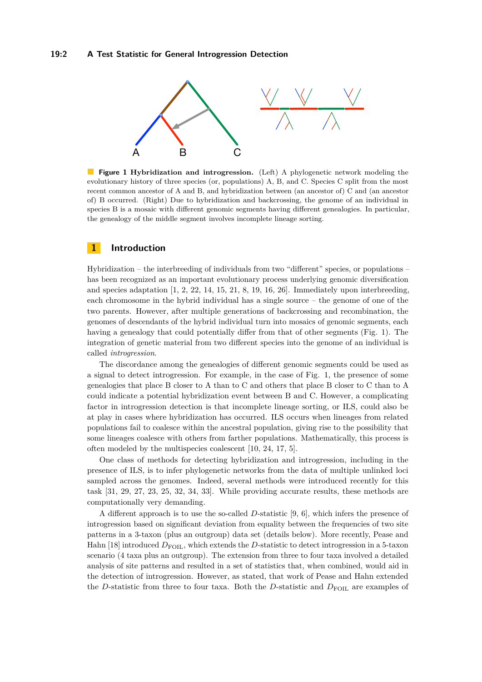<span id="page-1-0"></span>

 $\mathcal{L}_{\mathcal{A}}$ **Figure 1 Hybridization and introgression.** (Left) A phylogenetic network modeling the evolutionary history of three species (or, populations) A, B, and C. Species C split from the most recent common ancestor of A and B, and hybridization between (an ancestor of) C and (an ancestor of) B occurred. (Right) Due to hybridization and backcrossing, the genome of an individual in species B is a mosaic with different genomic segments having different genealogies. In particular, the genealogy of the middle segment involves incomplete lineage sorting.

## **1 Introduction**

Hybridization – the interbreeding of individuals from two "different" species, or populations – has been recognized as an important evolutionary process underlying genomic diversification and species adaptation  $\left[1, 2, 22, 14, 15, 21, 8, 19, 16, 26\right]$  $\left[1, 2, 22, 14, 15, 21, 8, 19, 16, 26\right]$  $\left[1, 2, 22, 14, 15, 21, 8, 19, 16, 26\right]$  $\left[1, 2, 22, 14, 15, 21, 8, 19, 16, 26\right]$  $\left[1, 2, 22, 14, 15, 21, 8, 19, 16, 26\right]$  $\left[1, 2, 22, 14, 15, 21, 8, 19, 16, 26\right]$  $\left[1, 2, 22, 14, 15, 21, 8, 19, 16, 26\right]$  $\left[1, 2, 22, 14, 15, 21, 8, 19, 16, 26\right]$  $\left[1, 2, 22, 14, 15, 21, 8, 19, 16, 26\right]$  $\left[1, 2, 22, 14, 15, 21, 8, 19, 16, 26\right]$  $\left[1, 2, 22, 14, 15, 21, 8, 19, 16, 26\right]$  $\left[1, 2, 22, 14, 15, 21, 8, 19, 16, 26\right]$  $\left[1, 2, 22, 14, 15, 21, 8, 19, 16, 26\right]$  $\left[1, 2, 22, 14, 15, 21, 8, 19, 16, 26\right]$  $\left[1, 2, 22, 14, 15, 21, 8, 19, 16, 26\right]$  $\left[1, 2, 22, 14, 15, 21, 8, 19, 16, 26\right]$  $\left[1, 2, 22, 14, 15, 21, 8, 19, 16, 26\right]$  $\left[1, 2, 22, 14, 15, 21, 8, 19, 16, 26\right]$  $\left[1, 2, 22, 14, 15, 21, 8, 19, 16, 26\right]$ . Immediately upon interbreeding, each chromosome in the hybrid individual has a single source – the genome of one of the two parents. However, after multiple generations of backcrossing and recombination, the genomes of descendants of the hybrid individual turn into mosaics of genomic segments, each having a genealogy that could potentially differ from that of other segments (Fig. [1\)](#page-1-0). The integration of genetic material from two different species into the genome of an individual is called *introgression*.

The discordance among the genealogies of different genomic segments could be used as a signal to detect introgression. For example, in the case of Fig. [1,](#page-1-0) the presence of some genealogies that place B closer to A than to C and others that place B closer to C than to A could indicate a potential hybridization event between B and C. However, a complicating factor in introgression detection is that incomplete lineage sorting, or ILS, could also be at play in cases where hybridization has occurred. ILS occurs when lineages from related populations fail to coalesce within the ancestral population, giving rise to the possibility that some lineages coalesce with others from farther populations. Mathematically, this process is often modeled by the multispecies coalescent [\[10,](#page-11-7) [24,](#page-12-2) [17,](#page-11-8) [5\]](#page-10-2).

One class of methods for detecting hybridization and introgression, including in the presence of ILS, is to infer phylogenetic networks from the data of multiple unlinked loci sampled across the genomes. Indeed, several methods were introduced recently for this task [\[31,](#page-12-3) [29,](#page-12-4) [27,](#page-12-5) [23,](#page-12-6) [25,](#page-12-7) [32,](#page-12-8) [34,](#page-12-9) [33\]](#page-12-10). While providing accurate results, these methods are computationally very demanding.

A different approach is to use the so-called *D*-statistic [\[9,](#page-11-9) [6\]](#page-11-10), which infers the presence of introgression based on significant deviation from equality between the frequencies of two site patterns in a 3-taxon (plus an outgroup) data set (details below). More recently, Pease and Hahn [\[18\]](#page-11-11) introduced  $D_{\text{FOLL}}$ , which extends the *D*-statistic to detect introgression in a 5-taxon scenario (4 taxa plus an outgroup). The extension from three to four taxa involved a detailed analysis of site patterns and resulted in a set of statistics that, when combined, would aid in the detection of introgression. However, as stated, that work of Pease and Hahn extended the *D*-statistic from three to four taxa. Both the *D*-statistic and  $D_{\text{FOL}}$  are examples of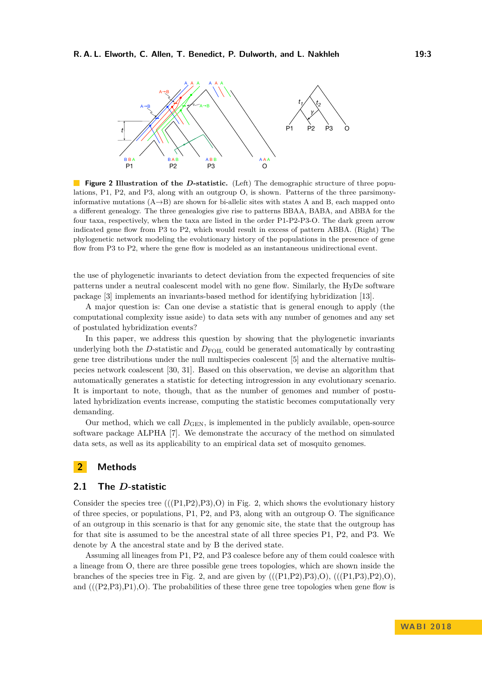<span id="page-2-0"></span>

**Figure 2 Illustration of the D-statistic.** (Left) The demographic structure of three populations, P1, P2, and P3, along with an outgroup O, is shown. Patterns of the three parsimonyinformative mutations  $(A\rightarrow B)$  are shown for bi-allelic sites with states A and B, each mapped onto a different genealogy. The three genealogies give rise to patterns BBAA, BABA, and ABBA for the four taxa, respectively, when the taxa are listed in the order P1-P2-P3-O. The dark green arrow indicated gene flow from P3 to P2, which would result in excess of pattern ABBA. (Right) The phylogenetic network modeling the evolutionary history of the populations in the presence of gene flow from P3 to P2, where the gene flow is modeled as an instantaneous unidirectional event.

the use of phylogenetic invariants to detect deviation from the expected frequencies of site patterns under a neutral coalescent model with no gene flow. Similarly, the HyDe software package [\[3\]](#page-10-3) implements an invariants-based method for identifying hybridization [\[13\]](#page-11-12).

A major question is: Can one devise a statistic that is general enough to apply (the computational complexity issue aside) to data sets with any number of genomes and any set of postulated hybridization events?

In this paper, we address this question by showing that the phylogenetic invariants underlying both the *D*-statistic and  $D_{\text{FOL}}$  could be generated automatically by contrasting gene tree distributions under the null multispecies coalescent [\[5\]](#page-10-2) and the alternative multispecies network coalescent [\[30,](#page-12-11) [31\]](#page-12-3). Based on this observation, we devise an algorithm that automatically generates a statistic for detecting introgression in any evolutionary scenario. It is important to note, though, that as the number of genomes and number of postulated hybridization events increase, computing the statistic becomes computationally very demanding.

Our method, which we call  $D_{\text{GEN}}$ , is implemented in the publicly available, open-source software package ALPHA [\[7\]](#page-11-13). We demonstrate the accuracy of the method on simulated data sets, as well as its applicability to an empirical data set of mosquito genomes.

# **2 Methods**

## **2.1 The** *D***-statistic**

Consider the species tree  $(((P1,P2),P3),O)$  in Fig. [2,](#page-2-0) which shows the evolutionary history of three species, or populations, P1, P2, and P3, along with an outgroup O. The significance of an outgroup in this scenario is that for any genomic site, the state that the outgroup has for that site is assumed to be the ancestral state of all three species P1, P2, and P3. We denote by A the ancestral state and by B the derived state.

Assuming all lineages from P1, P2, and P3 coalesce before any of them could coalesce with a lineage from O, there are three possible gene trees topologies, which are shown inside the branches of the species tree in Fig. [2,](#page-2-0) and are given by  $(((P1,P2),P3),O), (((P1,P3),P2),O),$ and  $(((P2,P3),P1),O)$ . The probabilities of these three gene tree topologies when gene flow is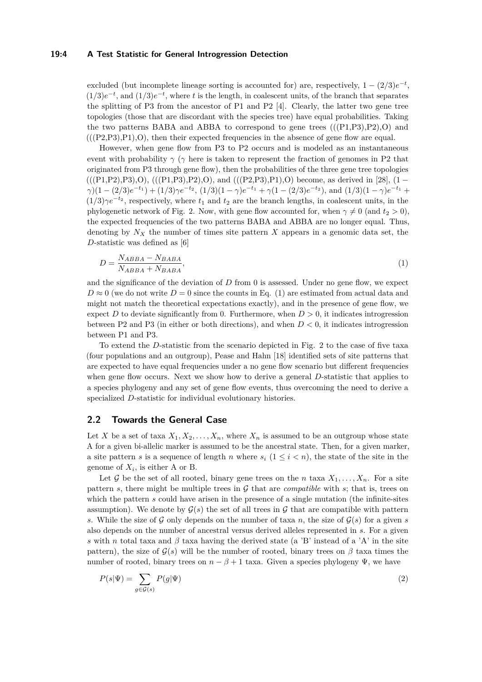#### **19:4 A Test Statistic for General Introgression Detection**

excluded (but incomplete lineage sorting is accounted for) are, respectively,  $1 - (2/3)e^{-t}$ ,  $(1/3)e^{-t}$ , and  $(1/3)e^{-t}$ , where *t* is the length, in coalescent units, of the branch that separates the splitting of P3 from the ancestor of P1 and P2 [\[4\]](#page-10-4). Clearly, the latter two gene tree topologies (those that are discordant with the species tree) have equal probabilities. Taking the two patterns BABA and ABBA to correspond to gene trees  $(((P1,P3),P2),O)$  and  $(((P2,P3),P1),O)$ , then their expected frequencies in the absence of gene flow are equal.

However, when gene flow from P3 to P2 occurs and is modeled as an instantaneous event with probability  $\gamma$  ( $\gamma$  here is taken to represent the fraction of genomes in P2 that originated from P3 through gene flow), then the probabilities of the three gene tree topologies  $(((P1,P2),P3),O), (((P1,P3),P2),O),$  and  $(((P2,P3),P1),O)$  become, as derived in [\[28\]](#page-12-12),  $(1 \gamma$ )(1 - (2/3)e<sup>-t<sub>1</sub></sub> + (1/3) $\gamma e^{-t_2}$ , (1/3)(1 -  $\gamma$ )e<sup>-t<sub>1</sub></sup> +  $\gamma$ (1 - (2/3)e<sup>-t<sub>2</sub></sub>), and (1/3)(1 -  $\gamma$ )e<sup>-t<sub>1</sub></sup> +</sup></sup>  $(1/3)\gamma e^{-t_2}$ , respectively, where  $t_1$  and  $t_2$  are the branch lengths, in coalescent units, in the phylogenetic network of Fig. [2.](#page-2-0) Now, with gene flow accounted for, when  $\gamma \neq 0$  (and  $t_2 > 0$ ), the expected frequencies of the two patterns BABA and ABBA are no longer equal. Thus, denoting by  $N_X$  the number of times site pattern X appears in a genomic data set, the *D*-statistic was defined as [\[6\]](#page-11-10)

<span id="page-3-0"></span>
$$
D = \frac{N_{ABBA} - N_{BABA}}{N_{ABBA} + N_{BABA}},\tag{1}
$$

and the significance of the deviation of *D* from 0 is assessed. Under no gene flow, we expect  $D \approx 0$  (we do not write  $D = 0$  since the counts in Eq. [\(1\)](#page-3-0) are estimated from actual data and might not match the theoretical expectations exactly), and in the presence of gene flow, we expect *D* to deviate significantly from 0. Furthermore, when  $D > 0$ , it indicates introgression between P2 and P3 (in either or both directions), and when *D <* 0, it indicates introgression between P1 and P3.

To extend the *D*-statistic from the scenario depicted in Fig. [2](#page-2-0) to the case of five taxa (four populations and an outgroup), Pease and Hahn [\[18\]](#page-11-11) identified sets of site patterns that are expected to have equal frequencies under a no gene flow scenario but different frequencies when gene flow occurs. Next we show how to derive a general *D*-statistic that applies to a species phylogeny and any set of gene flow events, thus overcoming the need to derive a specialized *D*-statistic for individual evolutionary histories.

## **2.2 Towards the General Case**

Let *X* be a set of taxa  $X_1, X_2, \ldots, X_n$ , where  $X_n$  is assumed to be an outgroup whose state A for a given bi-allelic marker is assumed to be the ancestral state. Then, for a given marker, a site pattern *s* is a sequence of length *n* where  $s_i$  ( $1 \le i \le n$ ), the state of the site in the genome of  $X_i$ , is either A or B.

Let G be the set of all rooted, binary gene trees on the *n* taxa  $X_1, \ldots, X_n$ . For a site pattern *s*, there might be multiple trees in  $\mathcal G$  that are *compatible* with *s*; that is, trees on which the pattern *s* could have arisen in the presence of a single mutation (the infinite-sites assumption). We denote by  $\mathcal{G}(s)$  the set of all trees in  $\mathcal G$  that are compatible with pattern *s*. While the size of G only depends on the number of taxa *n*, the size of  $\mathcal{G}(s)$  for a given *s* also depends on the number of ancestral versus derived alleles represented in *s*. For a given *s* with *n* total taxa and  $\beta$  taxa having the derived state (a 'B' instead of a 'A' in the site pattern), the size of  $\mathcal{G}(s)$  will be the number of rooted, binary trees on  $\beta$  taxa times the number of rooted, binary trees on  $n - \beta + 1$  taxa. Given a species phylogeny  $\Psi$ , we have

$$
P(s|\Psi) = \sum_{g \in \mathcal{G}(s)} P(g|\Psi)
$$
\n(2)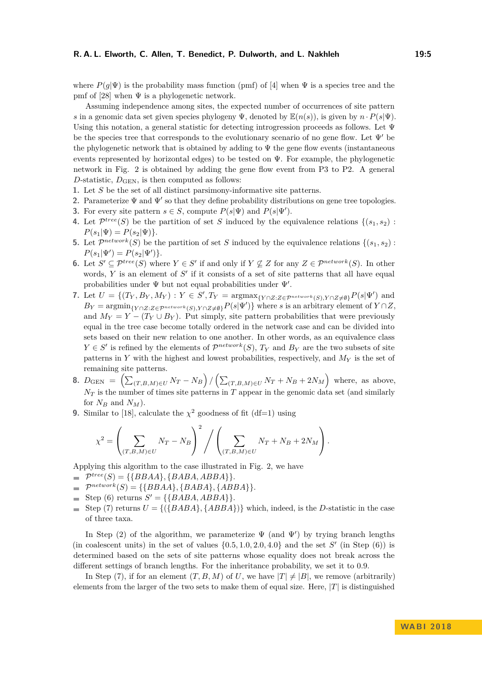where  $P(q|\Psi)$  is the probability mass function (pmf) of [\[4\]](#page-10-4) when  $\Psi$  is a species tree and the pmf of [\[28\]](#page-12-12) when  $\Psi$  is a phylogenetic network.

Assuming independence among sites, the expected number of occurrences of site pattern *s* in a genomic data set given species phylogeny  $\Psi$ , denoted by  $\mathbb{E}(n(s))$ , is given by  $n \cdot P(s|\Psi)$ . Using this notation, a general statistic for detecting introgression proceeds as follows. Let  $\Psi$ be the species tree that corresponds to the evolutionary scenario of no gene flow. Let  $\Psi'$  be the phylogenetic network that is obtained by adding to  $\Psi$  the gene flow events (instantaneous events represented by horizontal edges) to be tested on  $\Psi$ . For example, the phylogenetic network in Fig. [2](#page-2-0) is obtained by adding the gene flow event from P3 to P2. A general *D*-statistic,  $D_{\text{GEN}}$ , is then computed as follows:

- **1.** Let *S* be the set of all distinct parsimony-informative site patterns.
- **2.** Parameterize  $\Psi$  and  $\Psi'$  so that they define probability distributions on gene tree topologies.
- **3.** For every site pattern  $s \in S$ , compute  $P(s|\Psi)$  and  $P(s|\Psi')$ .
- **4.** Let  $\mathcal{P}^{tree}(S)$  be the partition of set *S* induced by the equivalence relations  $\{(s_1, s_2)$ :  $P(s_1|\Psi) = P(s_2|\Psi)$ .
- **5.** Let  $\mathcal{P}^{network}(S)$  be the partition of set *S* induced by the equivalence relations  $\{(s_1, s_2)$ :  $P(s_1|\Psi') = P(s_2|\Psi')$
- **6.** Let *S*<sup> $\prime$ </sup> ⊆  $\mathcal{P}^{tree}(S)$  where *Y* ∈ *S*<sup> $\prime$ </sup> if and only if *Y* ⊈ *Z* for any *Z* ∈  $\mathcal{P}^{network}(S)$ . In other words,  $Y$  is an element of  $S'$  if it consists of a set of site patterns that all have equal probabilities under  $\Psi$  but not equal probabilities under  $\Psi'$ .
- 7. Let  $U = \{(T_Y, B_Y, M_Y) : Y \in S', T_Y = \text{argmax}_{\{Y \cap Z : Z \in \mathcal{P}^{network}(S), Y \cap Z \neq \emptyset\}} P(s | \Psi') \text{ and }$  $B_Y = \arg\min_{\{Y \cap Z : Z \in \mathcal{P}^{\text{network}}(S), Y \cap Z \neq \emptyset\}} P(s|\Psi')\}$  where *s* is an arbitrary element of  $Y \cap Z$ , and  $M_Y = Y - (T_Y \cup B_Y)$ . Put simply, site pattern probabilities that were previously equal in the tree case become totally ordered in the network case and can be divided into sets based on their new relation to one another. In other words, as an equivalence class  $Y \in S'$  is refined by the elements of  $\mathcal{P}^{network}(S)$ ,  $T_Y$  and  $B_Y$  are the two subsets of site patterns in *Y* with the highest and lowest probabilities, respectively, and *M<sup>Y</sup>* is the set of remaining site patterns.
- **8.**  $D_{\text{GEN}} = (\sum_{(T, B, M) \in U} N_T N_B)/(\sum_{(T, B, M) \in U} N_T + N_B + 2N_M)$  where, as above, *N<sup>T</sup>* is the number of times site patterns in *T* appear in the genomic data set (and similarly for  $N_B$  and  $N_M$ ).
- **9.** Similar to [\[18\]](#page-11-11), calculate the  $\chi^2$  goodness of fit (df=1) using

$$
\chi^2 = \left(\sum_{(T,B,M)\in U} N_T - N_B\right)^2 / \left(\sum_{(T,B,M)\in U} N_T + N_B + 2N_M\right).
$$

Applying this algorithm to the case illustrated in Fig. [2,](#page-2-0) we have

- $\mathcal{P}^{tree}(S) = \{\{BBAA\}, \{BABA, ABBA\}\}.$
- $\mathcal{P}^{network}(S) = \{\{BBAA\}, \{BABA\}, \{ABBA\}\}.$
- Step (6) returns  $S' = \{\{BABA, ABBA\}\}.$
- $\equiv$  Step (7) returns  $U = \{(\{BABA\}, \{ABBA\})\}$  which, indeed, is the *D*-statistic in the case of three taxa.

In Step (2) of the algorithm, we parameterize  $\Psi$  (and  $\Psi'$ ) by trying branch lengths (in coalescent units) in the set of values  $\{0.5, 1.0, 2.0, 4.0\}$  and the set *S*<sup>'</sup> (in Step (6)) is determined based on the sets of site patterns whose equality does not break across the different settings of branch lengths. For the inheritance probability, we set it to 0*.*9.

In Step (7), if for an element  $(T, B, M)$  of U, we have  $|T| \neq |B|$ , we remove (arbitrarily) elements from the larger of the two sets to make them of equal size. Here, |*T*| is distinguished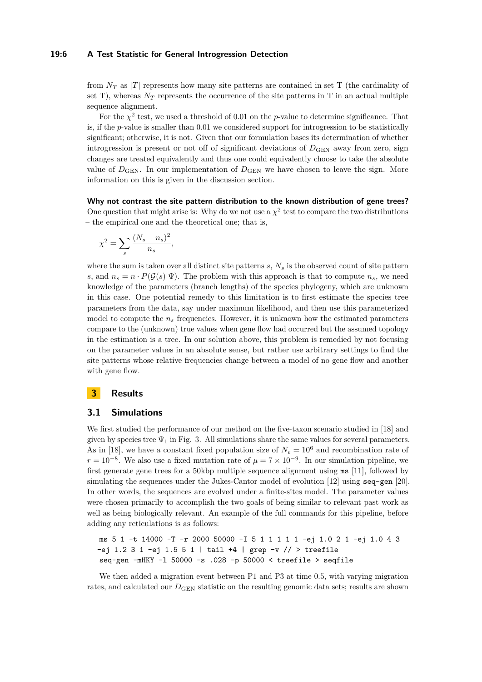#### **19:6 A Test Statistic for General Introgression Detection**

from  $N_T$  as |*T*| represents how many site patterns are contained in set T (the cardinality of set T), whereas  $N_T$  represents the occurrence of the site patterns in T in an actual multiple sequence alignment.

For the  $\chi^2$  test, we used a threshold of 0.01 on the *p*-value to determine significance. That is, if the *p*-value is smaller than 0*.*01 we considered support for introgression to be statistically significant; otherwise, it is not. Given that our formulation bases its determination of whether introgression is present or not off of significant deviations of  $D_{\text{GEN}}$  away from zero, sign changes are treated equivalently and thus one could equivalently choose to take the absolute value of  $D_{\text{GEN}}$ . In our implementation of  $D_{\text{GEN}}$  we have chosen to leave the sign. More information on this is given in the discussion section.

**Why not contrast the site pattern distribution to the known distribution of gene trees?** One question that might arise is: Why do we not use a  $\chi^2$  test to compare the two distributions – the empirical one and the theoretical one; that is,

$$
\chi^2 = \sum_s \frac{(N_s - n_s)^2}{n_s},
$$

where the sum is taken over all distinct site patterns *s*, *N<sup>s</sup>* is the observed count of site pattern *s*, and  $n_s = n \cdot P(\mathcal{G}(s)|\Psi)$ . The problem with this approach is that to compute  $n_s$ , we need knowledge of the parameters (branch lengths) of the species phylogeny, which are unknown in this case. One potential remedy to this limitation is to first estimate the species tree parameters from the data, say under maximum likelihood, and then use this parameterized model to compute the  $n<sub>s</sub>$  frequencies. However, it is unknown how the estimated parameters compare to the (unknown) true values when gene flow had occurred but the assumed topology in the estimation is a tree. In our solution above, this problem is remedied by not focusing on the parameter values in an absolute sense, but rather use arbitrary settings to find the site patterns whose relative frequencies change between a model of no gene flow and another with gene flow.

# **3 Results**

## **3.1 Simulations**

We first studied the performance of our method on the five-taxon scenario studied in [\[18\]](#page-11-11) and given by species tree  $\Psi_1$  in Fig. [3.](#page-6-0) All simulations share the same values for several parameters. As in [\[18\]](#page-11-11), we have a constant fixed population size of  $N_e = 10^6$  and recombination rate of  $r = 10^{-8}$ . We also use a fixed mutation rate of  $\mu = 7 \times 10^{-9}$ . In our simulation pipeline, we first generate gene trees for a 50kbp multiple sequence alignment using ms [\[11\]](#page-11-14), followed by simulating the sequences under the Jukes-Cantor model of evolution [\[12\]](#page-11-15) using seq-gen [\[20\]](#page-11-16). In other words, the sequences are evolved under a finite-sites model. The parameter values were chosen primarily to accomplish the two goals of being similar to relevant past work as well as being biologically relevant. An example of the full commands for this pipeline, before adding any reticulations is as follows:

ms 5 1 -t 14000 -T -r 2000 50000 -I 5 1 1 1 1 1 -ej 1.0 2 1 -ej 1.0 4 3  $-ej$  1.2 3 1  $-ej$  1.5 5 1 | tail  $+4$  | grep  $-v$  // > treefile seq-gen -mHKY -l 50000 -s .028 -p 50000 < treefile > seqfile

We then added a migration event between P1 and P3 at time 0.5, with varying migration rates, and calculated our  $D_{\text{GEN}}$  statistic on the resulting genomic data sets; results are shown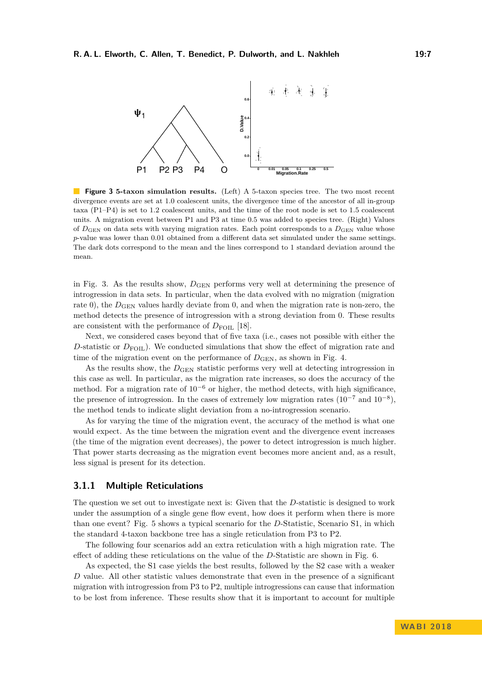<span id="page-6-0"></span>

**Figure 3 5-taxon simulation results.** (Left) A 5-taxon species tree. The two most recent divergence events are set at 1.0 coalescent units, the divergence time of the ancestor of all in-group taxa (P1–P4) is set to 1.2 coalescent units, and the time of the root node is set to 1.5 coalescent units. A migration event between P1 and P3 at time 0.5 was added to species tree. (Right) Values of *D*GEN on data sets with varying migration rates. Each point corresponds to a *D*GEN value whose *p*-value was lower than 0*.*01 obtained from a different data set simulated under the same settings. The dark dots correspond to the mean and the lines correspond to 1 standard deviation around the mean.

in Fig. [3.](#page-6-0) As the results show,  $D_{\text{GEN}}$  performs very well at determining the presence of introgression in data sets. In particular, when the data evolved with no migration (migration rate 0), the  $D_{\text{GEN}}$  values hardly deviate from 0, and when the migration rate is non-zero, the method detects the presence of introgression with a strong deviation from 0. These results are consistent with the performance of  $D_{\text{FOL}}$  [\[18\]](#page-11-11).

Next, we considered cases beyond that of five taxa (i.e., cases not possible with either the D-statistic or  $D_{\text{FOL}}$ ). We conducted simulations that show the effect of migration rate and time of the migration event on the performance of  $D_{\text{GEN}}$ , as shown in Fig. [4.](#page-7-0)

As the results show, the  $D_{\text{GEN}}$  statistic performs very well at detecting introgression in this case as well. In particular, as the migration rate increases, so does the accuracy of the method. For a migration rate of  $10^{-6}$  or higher, the method detects, with high significance, the presence of introgression. In the cases of extremely low migration rates  $(10^{-7} \text{ and } 10^{-8})$ , the method tends to indicate slight deviation from a no-introgression scenario.

As for varying the time of the migration event, the accuracy of the method is what one would expect. As the time between the migration event and the divergence event increases (the time of the migration event decreases), the power to detect introgression is much higher. That power starts decreasing as the migration event becomes more ancient and, as a result, less signal is present for its detection.

## **3.1.1 Multiple Reticulations**

The question we set out to investigate next is: Given that the *D*-statistic is designed to work under the assumption of a single gene flow event, how does it perform when there is more than one event? Fig. [5](#page-8-0) shows a typical scenario for the *D*-Statistic, Scenario S1, in which the standard 4-taxon backbone tree has a single reticulation from P3 to P2.

The following four scenarios add an extra reticulation with a high migration rate. The effect of adding these reticulations on the value of the *D*-Statistic are shown in Fig. [6.](#page-8-1)

As expected, the S1 case yields the best results, followed by the S2 case with a weaker *D* value. All other statistic values demonstrate that even in the presence of a significant migration with introgression from P3 to P2, multiple introgressions can cause that information to be lost from inference. These results show that it is important to account for multiple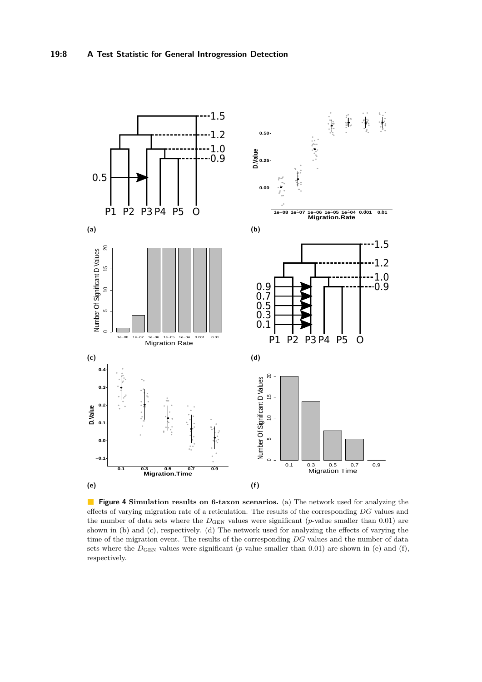<span id="page-7-0"></span>

**Figure 4 Simulation results on 6-taxon scenarios.** (a) The network used for analyzing the effects of varying migration rate of a reticulation. The results of the corresponding *DG* values and the number of data sets where the  $D_{\text{GEN}}$  values were significant (*p*-value smaller than 0.01) are shown in (b) and (c), respectively. (d) The network used for analyzing the effects of varying the time of the migration event. The results of the corresponding *DG* values and the number of data sets where the  $D_{\text{GEN}}$  values were significant (*p*-value smaller than 0.01) are shown in (e) and (f), respectively.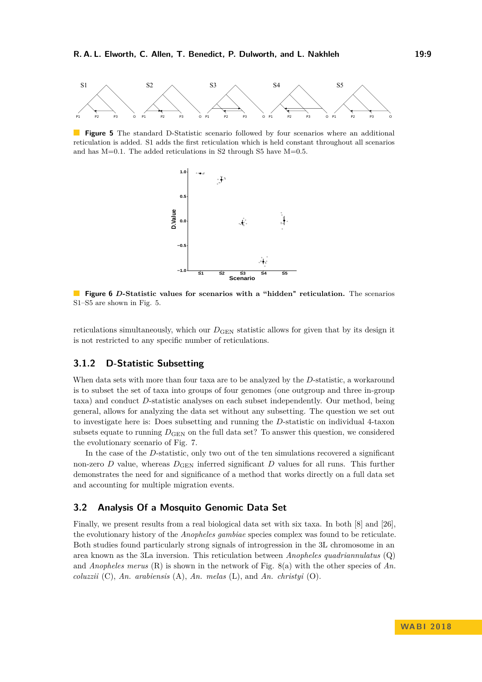<span id="page-8-0"></span>

<span id="page-8-1"></span>**Figure 5** The standard D-Statistic scenario followed by four scenarios where an additional reticulation is added. S1 adds the first reticulation which is held constant throughout all scenarios and has  $M=0.1$ . The added reticulations in S2 through S5 have  $M=0.5$ .



**Figure 6** *D***-Statistic values for scenarios with a "hidden" reticulation.** The scenarios S1–S5 are shown in Fig. [5.](#page-8-0)

reticulations simultaneously, which our  $D_{\text{GEN}}$  statistic allows for given that by its design it is not restricted to any specific number of reticulations.

## **3.1.2 D-Statistic Subsetting**

When data sets with more than four taxa are to be analyzed by the *D*-statistic, a workaround is to subset the set of taxa into groups of four genomes (one outgroup and three in-group taxa) and conduct *D*-statistic analyses on each subset independently. Our method, being general, allows for analyzing the data set without any subsetting. The question we set out to investigate here is: Does subsetting and running the *D*-statistic on individual 4-taxon subsets equate to running  $D_{\text{GEN}}$  on the full data set? To answer this question, we considered the evolutionary scenario of Fig. [7.](#page-9-0)

In the case of the *D*-statistic, only two out of the ten simulations recovered a significant non-zero *D* value, whereas  $D_{\text{GEN}}$  inferred significant *D* values for all runs. This further demonstrates the need for and significance of a method that works directly on a full data set and accounting for multiple migration events.

## **3.2 Analysis Of a Mosquito Genomic Data Set**

Finally, we present results from a real biological data set with six taxa. In both [\[8\]](#page-11-4) and [\[26\]](#page-12-1), the evolutionary history of the *Anopheles gambiae* species complex was found to be reticulate. Both studies found particularly strong signals of introgression in the 3L chromosome in an area known as the 3La inversion. This reticulation between *Anopheles quadriannulatus* (Q) and *Anopheles merus* (R) is shown in the network of Fig. [8\(](#page-9-1)a) with the other species of *An. coluzzii* (C), *An. arabiensis* (A), *An. melas* (L), and *An. christyi* (O).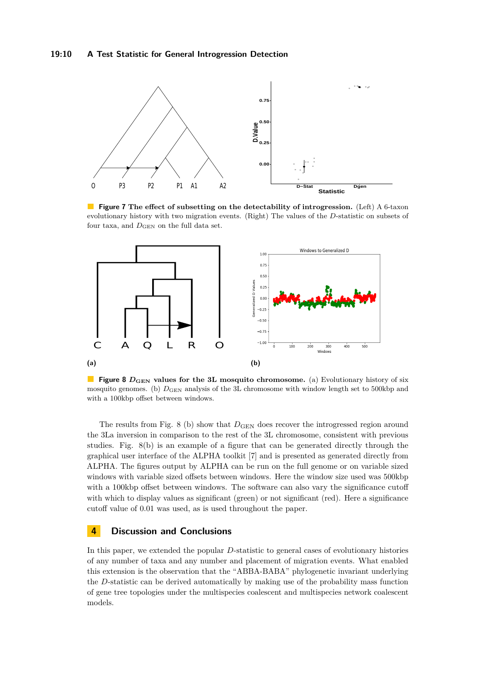<span id="page-9-0"></span>

**Figure 7** The effect of subsetting on the detectability of introgression. (Left) A 6-taxon evolutionary history with two migration events. (Right) The values of the *D*-statistic on subsets of four taxa, and  $D_{\text{GEN}}$  on the full data set.

<span id="page-9-1"></span>

**Figure 8** *D*<sub>GEN</sub> values for the 3L mosquito chromosome. (a) Evolutionary history of six mosquito genomes. (b)  $D_{\text{GEN}}$  analysis of the 3L chromosome with window length set to 500kbp and with a 100kbp offset between windows.

The results from Fig. [8](#page-9-1) (b) show that  $D_{\text{GEN}}$  does recover the introgressed region around the 3La inversion in comparison to the rest of the 3L chromosome, consistent with previous studies. Fig. [8\(](#page-9-1)b) is an example of a figure that can be generated directly through the graphical user interface of the ALPHA toolkit [\[7\]](#page-11-13) and is presented as generated directly from ALPHA. The figures output by ALPHA can be run on the full genome or on variable sized windows with variable sized offsets between windows. Here the window size used was 500kbp with a 100kbp offset between windows. The software can also vary the significance cutoff with which to display values as significant (green) or not significant (red). Here a significance cutoff value of 0.01 was used, as is used throughout the paper.

# **4 Discussion and Conclusions**

In this paper, we extended the popular *D*-statistic to general cases of evolutionary histories of any number of taxa and any number and placement of migration events. What enabled this extension is the observation that the "ABBA-BABA" phylogenetic invariant underlying the *D*-statistic can be derived automatically by making use of the probability mass function of gene tree topologies under the multispecies coalescent and multispecies network coalescent models.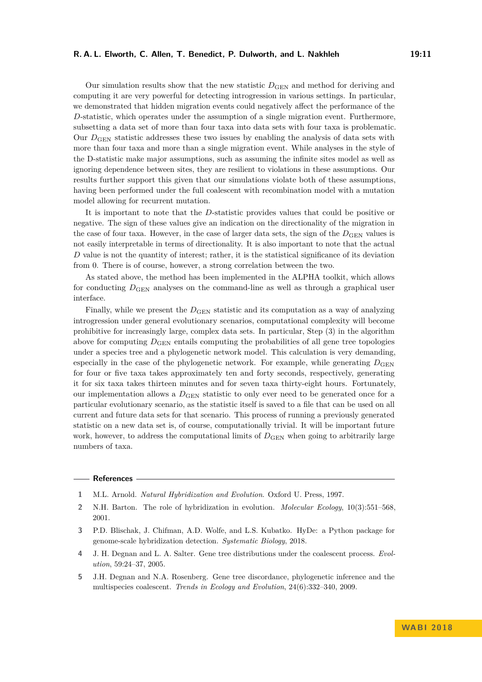#### **R. A. L. Elworth, C. Allen, T. Benedict, P. Dulworth, and L. Nakhleh 19:11**

Our simulation results show that the new statistic  $D_{\text{GEN}}$  and method for deriving and computing it are very powerful for detecting introgression in various settings. In particular, we demonstrated that hidden migration events could negatively affect the performance of the *D*-statistic, which operates under the assumption of a single migration event. Furthermore, subsetting a data set of more than four taxa into data sets with four taxa is problematic. Our *D*GEN statistic addresses these two issues by enabling the analysis of data sets with more than four taxa and more than a single migration event. While analyses in the style of the D-statistic make major assumptions, such as assuming the infinite sites model as well as ignoring dependence between sites, they are resilient to violations in these assumptions. Our results further support this given that our simulations violate both of these assumptions, having been performed under the full coalescent with recombination model with a mutation model allowing for recurrent mutation.

It is important to note that the *D*-statistic provides values that could be positive or negative. The sign of these values give an indication on the directionality of the migration in the case of four taxa. However, in the case of larger data sets, the sign of the  $D_{\text{GEN}}$  values is not easily interpretable in terms of directionality. It is also important to note that the actual *D* value is not the quantity of interest; rather, it is the statistical significance of its deviation from 0. There is of course, however, a strong correlation between the two.

As stated above, the method has been implemented in the ALPHA toolkit, which allows for conducting  $D_{\text{GEN}}$  analyses on the command-line as well as through a graphical user interface.

Finally, while we present the  $D_{\text{GEN}}$  statistic and its computation as a way of analyzing introgression under general evolutionary scenarios, computational complexity will become prohibitive for increasingly large, complex data sets. In particular, Step (3) in the algorithm above for computing  $D_{\text{GEN}}$  entails computing the probabilities of all gene tree topologies under a species tree and a phylogenetic network model. This calculation is very demanding, especially in the case of the phylogenetic network. For example, while generating  $D_{\text{GEN}}$ for four or five taxa takes approximately ten and forty seconds, respectively, generating it for six taxa takes thirteen minutes and for seven taxa thirty-eight hours. Fortunately, our implementation allows a  $D_{\text{GEN}}$  statistic to only ever need to be generated once for a particular evolutionary scenario, as the statistic itself is saved to a file that can be used on all current and future data sets for that scenario. This process of running a previously generated statistic on a new data set is, of course, computationally trivial. It will be important future work, however, to address the computational limits of  $D_{\text{GEN}}$  when going to arbitrarily large numbers of taxa.

#### **References**

<span id="page-10-0"></span>**1** M.L. Arnold. *Natural Hybridization and Evolution*. Oxford U. Press, 1997.

- <span id="page-10-1"></span>**2** N.H. Barton. The role of hybridization in evolution. *Molecular Ecology*, 10(3):551–568, 2001.
- <span id="page-10-3"></span>**3** P.D. Blischak, J. Chifman, A.D. Wolfe, and L.S. Kubatko. HyDe: a Python package for genome-scale hybridization detection. *Systematic Biology*, 2018.
- <span id="page-10-4"></span>**4** J. H. Degnan and L. A. Salter. Gene tree distributions under the coalescent process. *Evolution*, 59:24–37, 2005.
- <span id="page-10-2"></span>**5** J.H. Degnan and N.A. Rosenberg. Gene tree discordance, phylogenetic inference and the multispecies coalescent. *Trends in Ecology and Evolution*, 24(6):332–340, 2009.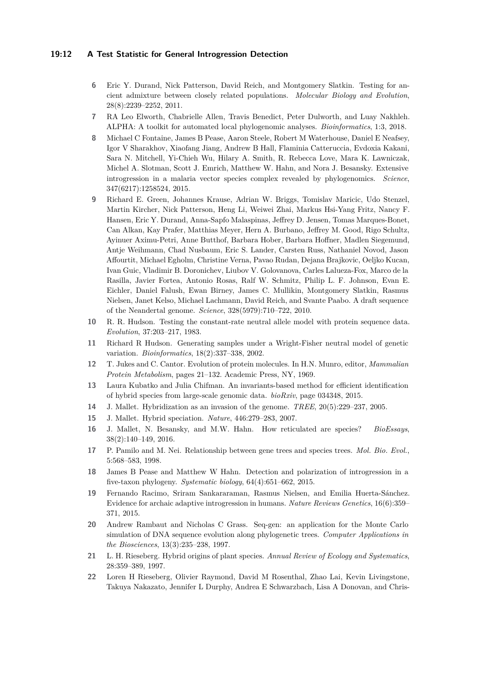#### **19:12 A Test Statistic for General Introgression Detection**

- <span id="page-11-10"></span>**6** Eric Y. Durand, Nick Patterson, David Reich, and Montgomery Slatkin. Testing for ancient admixture between closely related populations. *Molecular Biology and Evolution*, 28(8):2239–2252, 2011.
- <span id="page-11-13"></span>**7** RA Leo Elworth, Chabrielle Allen, Travis Benedict, Peter Dulworth, and Luay Nakhleh. ALPHA: A toolkit for automated local phylogenomic analyses. *Bioinformatics*, 1:3, 2018.
- <span id="page-11-4"></span>**8** Michael C Fontaine, James B Pease, Aaron Steele, Robert M Waterhouse, Daniel E Neafsey, Igor V Sharakhov, Xiaofang Jiang, Andrew B Hall, Flaminia Catteruccia, Evdoxia Kakani, Sara N. Mitchell, Yi-Chieh Wu, Hilary A. Smith, R. Rebecca Love, Mara K. Lawniczak, Michel A. Slotman, Scott J. Emrich, Matthew W. Hahn, and Nora J. Besansky. Extensive introgression in a malaria vector species complex revealed by phylogenomics. *Science*, 347(6217):1258524, 2015.
- <span id="page-11-9"></span>**9** Richard E. Green, Johannes Krause, Adrian W. Briggs, Tomislav Maricic, Udo Stenzel, Martin Kircher, Nick Patterson, Heng Li, Weiwei Zhai, Markus Hsi-Yang Fritz, Nancy F. Hansen, Eric Y. Durand, Anna-Sapfo Malaspinas, Jeffrey D. Jensen, Tomas Marques-Bonet, Can Alkan, Kay Prafer, Matthias Meyer, Hern A. Burbano, Jeffrey M. Good, Rigo Schultz, Ayinuer Aximu-Petri, Anne Butthof, Barbara Hober, Barbara Hoffner, Madlen Siegemund, Antje Weihmann, Chad Nusbaum, Eric S. Lander, Carsten Russ, Nathaniel Novod, Jason Affourtit, Michael Egholm, Christine Verna, Pavao Rudan, Dejana Brajkovic, Oeljko Kucan, Ivan Guic, Vladimir B. Doronichev, Liubov V. Golovanova, Carles Lalueza-Fox, Marco de la Rasilla, Javier Fortea, Antonio Rosas, Ralf W. Schmitz, Philip L. F. Johnson, Evan E. Eichler, Daniel Falush, Ewan Birney, James C. Mullikin, Montgomery Slatkin, Rasmus Nielsen, Janet Kelso, Michael Lachmann, David Reich, and Svante Paabo. A draft sequence of the Neandertal genome. *Science*, 328(5979):710–722, 2010.
- <span id="page-11-7"></span>**10** R. R. Hudson. Testing the constant-rate neutral allele model with protein sequence data. *Evolution*, 37:203–217, 1983.
- <span id="page-11-14"></span>**11** Richard R Hudson. Generating samples under a Wright-Fisher neutral model of genetic variation. *Bioinformatics*, 18(2):337–338, 2002.
- <span id="page-11-15"></span>**12** T. Jukes and C. Cantor. Evolution of protein molecules. In H.N. Munro, editor, *Mammalian Protein Metabolism*, pages 21–132. Academic Press, NY, 1969.
- <span id="page-11-12"></span>**13** Laura Kubatko and Julia Chifman. An invariants-based method for efficient identification of hybrid species from large-scale genomic data. *bioRxiv*, page 034348, 2015.
- <span id="page-11-1"></span>**14** J. Mallet. Hybridization as an invasion of the genome. *TREE*, 20(5):229–237, 2005.
- <span id="page-11-2"></span>**15** J. Mallet. Hybrid speciation. *Nature*, 446:279–283, 2007.
- <span id="page-11-6"></span>**16** J. Mallet, N. Besansky, and M.W. Hahn. How reticulated are species? *BioEssays*, 38(2):140–149, 2016.
- <span id="page-11-8"></span>**17** P. Pamilo and M. Nei. Relationship between gene trees and species trees. *Mol. Bio. Evol.*, 5:568–583, 1998.
- <span id="page-11-11"></span>**18** James B Pease and Matthew W Hahn. Detection and polarization of introgression in a five-taxon phylogeny. *Systematic biology*, 64(4):651–662, 2015.
- <span id="page-11-5"></span>**19** Fernando Racimo, Sriram Sankararaman, Rasmus Nielsen, and Emilia Huerta-Sánchez. Evidence for archaic adaptive introgression in humans. *Nature Reviews Genetics*, 16(6):359– 371, 2015.
- <span id="page-11-16"></span>**20** Andrew Rambaut and Nicholas C Grass. Seq-gen: an application for the Monte Carlo simulation of DNA sequence evolution along phylogenetic trees. *Computer Applications in the Biosciences*, 13(3):235–238, 1997.
- <span id="page-11-3"></span>**21** L. H. Rieseberg. Hybrid origins of plant species. *Annual Review of Ecology and Systematics*, 28:359–389, 1997.
- <span id="page-11-0"></span>**22** Loren H Rieseberg, Olivier Raymond, David M Rosenthal, Zhao Lai, Kevin Livingstone, Takuya Nakazato, Jennifer L Durphy, Andrea E Schwarzbach, Lisa A Donovan, and Chris-